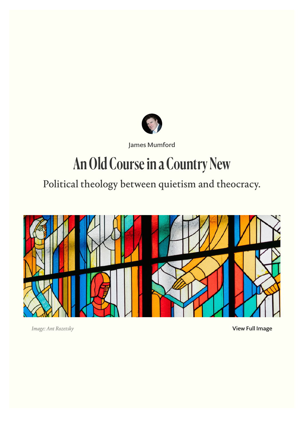

[James Mumford](https://comment.org/contributors/james-mumford)

# An Old Course in a Country New

Political theology between quietism and theocracy.



*Image: Ant Rozetsky*

[View Full Image](https://comment.org/wp-content/uploads/2022/05/An-Old-Course-in-a-Country-New.jpg)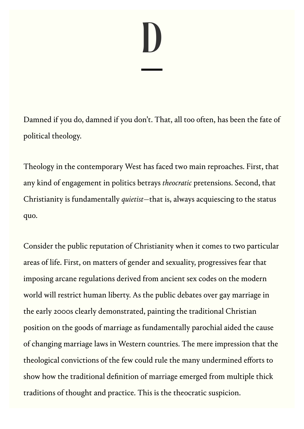# D

Damned if you do, damned if you don't. That, all too often, has been the fate of political theology.

Theology in the contemporary West has faced two main reproaches. First, that any kind of engagement in politics betrays *theocratic* pretensions. Second, that Christianity is fundamentally *quietist—*that is, always acquiescing to the status quo.

Consider the public reputation of Christianity when it comes to two particular areas of life. First, on matters of gender and sexuality, progressives fear that imposing arcane regulations derived from ancient sex codes on the modern world will restrict human liberty. As the public debates over gay marriage in the early 2000s clearly demonstrated, painting the traditional Christian position on the goods of marriage as fundamentally parochial aided the cause of changing marriage laws in Western countries. The mere impression that the theological convictions of the few could rule the many undermined efforts to show how the traditional definition of marriage emerged from multiple thick traditions of thought and practice. This is the theocratic suspicion.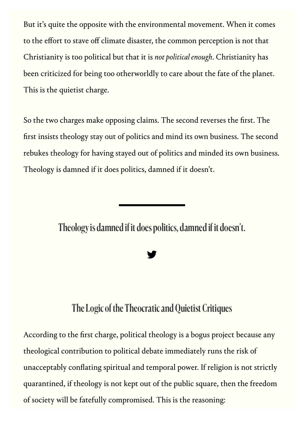But it's quite the opposite with the environmental movement. When it comes to the effort to stave off climate disaster, the common perception is not that Christianity is too political but that it is *not political enough*. Christianity has been criticized for being too otherworldly to care about the fate of the planet. This is the quietist charge.

So the two charges make opposing claims. The second reverses the first. The first insists theology stay out of politics and mind its own business. The second rebukes theology for having stayed out of politics and minded its own business. Theology is damned if it does politics, damned if it doesn't.

Theology is damned if it does politics, damned if it doesn't.

**y** 

## The Logic of the Theocratic and Quietist Critiques

According to the first charge, political theology is a bogus project because any theological contribution to political debate immediately runs the risk of unacceptably conflating spiritual and temporal power. If religion is not strictly quarantined, if theology is not kept out of the public square, then the freedom of society will be fatefully compromised. This is the reasoning: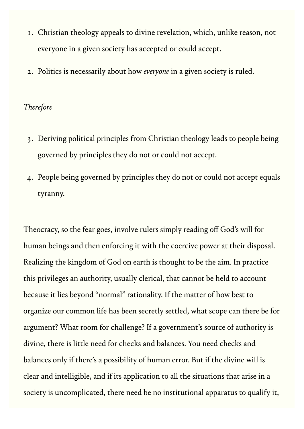- 1. Christian theology appeals to divine revelation, which, unlike reason, not everyone in a given society has accepted or could accept.
- 2. Politics is necessarily about how *everyone* in a given society is ruled.

#### *Therefore*

- 3. Deriving political principles from Christian theology leads to people being governed by principles they do not or could not accept.
- 4. People being governed by principles they do not or could not accept equals tyranny.

Theocracy, so the fear goes, involve rulers simply reading off God's will for human beings and then enforcing it with the coercive power at their disposal. Realizing the kingdom of God on earth is thought to be the aim. In practice this privileges an authority, usually clerical, that cannot be held to account because it lies beyond "normal" rationality. If the matter of how best to organize our common life has been secretly settled, what scope can there be for argument? What room for challenge? If a government's source of authority is divine, there is little need for checks and balances. You need checks and balances only if there's a possibility of human error. But if the divine will is clear and intelligible, and if its application to all the situations that arise in a society is uncomplicated, there need be no institutional apparatus to qualify it,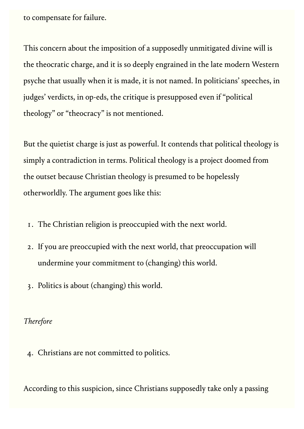to compensate for failure.

This concern about the imposition of a supposedly unmitigated divine will is the theocratic charge, and it is so deeply engrained in the late modern Western psyche that usually when it is made, it is not named. In politicians' speeches, in judges' verdicts, in op-eds, the critique is presupposed even if "political theology" or "theocracy" is not mentioned.

But the quietist charge is just as powerful. It contends that political theology is simply a contradiction in terms. Political theology is a project doomed from the outset because Christian theology is presumed to be hopelessly otherworldly. The argument goes like this:

- 1. The Christian religion is preoccupied with the next world.
- 2. If you are preoccupied with the next world, that preoccupation will undermine your commitment to (changing) this world.
- 3. Politics is about (changing) this world.

#### *Therefore*

4. Christians are not committed to politics.

According to this suspicion, since Christians supposedly take only a passing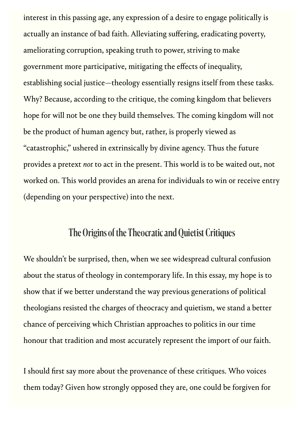interest in this passing age, any expression of a desire to engage politically is actually an instance of bad faith. Alleviating suffering, eradicating poverty, ameliorating corruption, speaking truth to power, striving to make government more participative, mitigating the effects of inequality, establishing social justice—theology essentially resigns itself from these tasks. Why? Because, according to the critique, the coming kingdom that believers hope for will not be one they build themselves. The coming kingdom will not be the product of human agency but, rather, is properly viewed as "catastrophic," ushered in extrinsically by divine agency. Thus the future provides a pretext *not* to act in the present. This world is to be waited out, not worked on. This world provides an arena for individuals to win or receive entry (depending on your perspective) into the next.

# The Origins of the Theocratic and Quietist Critiques

We shouldn't be surprised, then, when we see widespread cultural confusion about the status of theology in contemporary life. In this essay, my hope is to show that if we better understand the way previous generations of political theologians resisted the charges of theocracy and quietism, we stand a better chance of perceiving which Christian approaches to politics in our time honour that tradition and most accurately represent the import of our faith.

I should first say more about the provenance of these critiques. Who voices them today? Given how strongly opposed they are, one could be forgiven for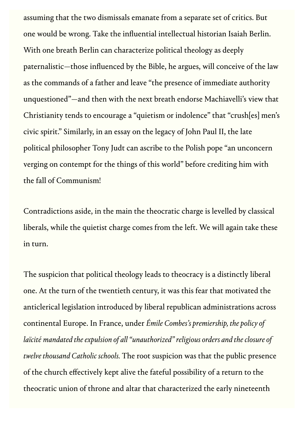assuming that the two dismissals emanate from a separate set of critics. But one would be wrong. Take the influential intellectual historian Isaiah Berlin. With one breath Berlin can characterize political theology as deeply paternalistic—those influenced by the Bible, he argues, will conceive of the law as the commands of a father and leave "the presence of immediate authority unquestioned"—and then with the next breath endorse Machiavelli's view that Christianity tends to encourage a "quietism or indolence" that "crush[es] men's civic spirit." Similarly, in an essay on the legacy of John Paul II, the late political philosopher Tony Judt can ascribe to the Polish pope "an unconcern verging on contempt for the things of this world" before crediting him with the fall of Communism!

Contradictions aside, in the main the theocratic charge is levelled by classical liberals, while the quietist charge comes from the left. We will again take these in turn.

The suspicion that political theology leads to theocracy is a distinctly liberal one. At the turn of the twentieth century, it was this fear that motivated the anticlerical legislation introduced by liberal republican administrations across continental Europe. In France, under *Émile Combes's premiership, the policy of laïcité mandated the expulsion of all "unauthorized" religious orders and the closure of twelve thousand Catholic schools.* The root suspicion was that the public presence of the church effectively kept alive the fateful possibility of a return to the theocratic union of throne and altar that characterized the early nineteenth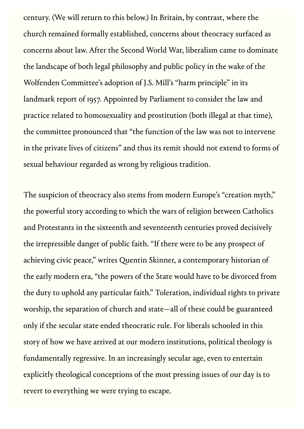century. (We will return to this below.) In Britain, by contrast, where the church remained formally established, concerns about theocracy surfaced as concerns about law. After the Second World War, liberalism came to dominate the landscape of both legal philosophy and public policy in the wake of the Wolfenden Committee's adoption of J.S. Mill's "harm principle" in its landmark report of 1957. Appointed by Parliament to consider the law and practice related to homosexuality and prostitution (both illegal at that time), the committee pronounced that "the function of the law was not to intervene in the private lives of citizens" and thus its remit should not extend to forms of sexual behaviour regarded as wrong by religious tradition.

The suspicion of theocracy also stems from modern Europe's "creation myth," the powerful story according to which the wars of religion between Catholics and Protestants in the sixteenth and seventeenth centuries proved decisively the irrepressible danger of public faith. "If there were to be any prospect of achieving civic peace," writes Quentin Skinner, a contemporary historian of the early modern era, "the powers of the State would have to be divorced from the duty to uphold any particular faith." Toleration, individual rights to private worship, the separation of church and state—all of these could be guaranteed only if the secular state ended theocratic rule. For liberals schooled in this story of how we have arrived at our modern institutions, political theology is fundamentally regressive. In an increasingly secular age, even to entertain explicitly theological conceptions of the most pressing issues of our day is to revert to everything we were trying to escape.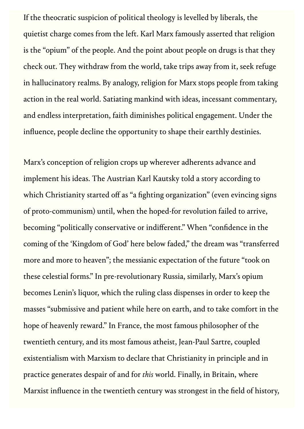If the theocratic suspicion of political theology is levelled by liberals, the quietist charge comes from the left. Karl Marx famously asserted that religion is the "opium" of the people. And the point about people on drugs is that they check out. They withdraw from the world, take trips away from it, seek refuge in hallucinatory realms. By analogy, religion for Marx stops people from taking action in the real world. Satiating mankind with ideas, incessant commentary, and endless interpretation, faith diminishes political engagement. Under the influence, people decline the opportunity to shape their earthly destinies.

Marx's conception of religion crops up wherever adherents advance and implement his ideas. The Austrian Karl Kautsky told a story according to which Christianity started off as "a fighting organization" (even evincing signs of proto-communism) until, when the hoped-for revolution failed to arrive, becoming "politically conservative or indifferent." When "confidence in the coming of the 'Kingdom of God' here below faded," the dream was "transferred more and more to heaven"; the messianic expectation of the future "took on these celestial forms." In pre-revolutionary Russia, similarly, Marx's opium becomes Lenin's liquor, which the ruling class dispenses in order to keep the masses "submissive and patient while here on earth, and to take comfort in the hope of heavenly reward." In France, the most famous philosopher of the twentieth century, and its most famous atheist, Jean-Paul Sartre, coupled existentialism with Marxism to declare that Christianity in principle and in practice generates despair of and for *this* world. Finally, in Britain, where Marxist influence in the twentieth century was strongest in the field of history,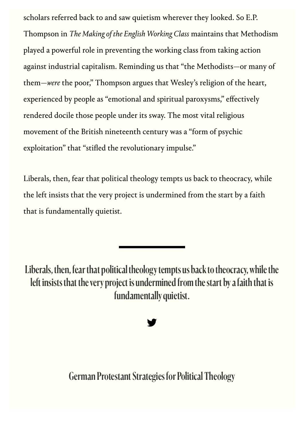scholars referred back to and saw quietism wherever they looked. So E.P. Thompson in *The Making of the English Working Class* maintains that Methodism played a powerful role in preventing the working class from taking action against industrial capitalism. Reminding us that "the Methodists—or many of them—*were* the poor," Thompson argues that Wesley's religion of the heart, experienced by people as "emotional and spiritual paroxysms," effectively rendered docile those people under its sway. The most vital religious movement of the British nineteenth century was a "form of psychic exploitation" that "stifled the revolutionary impulse."

Liberals, then, fear that political theology tempts us back to theocracy, while the left insists that the very project is undermined from the start by a faith that is fundamentally quietist.

Liberals, then, fear that political theology tempts us back to theocracy, while the left insists that the very project is undermined from the start by a faith that is fundamentally quietist.

# **y**

German Protestant Strategies for Political Theology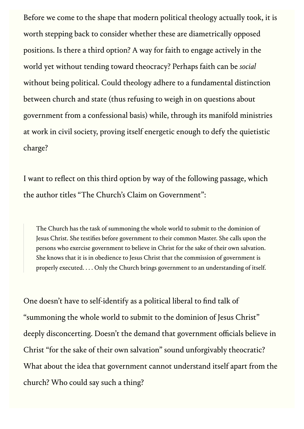Before we come to the shape that modern political theology actually took, it is worth stepping back to consider whether these are diametrically opposed positions. Is there a third option? A way for faith to engage actively in the world yet without tending toward theocracy? Perhaps faith can be *social* without being political. Could theology adhere to a fundamental distinction between church and state (thus refusing to weigh in on questions about government from a confessional basis) while, through its manifold ministries at work in civil society, proving itself energetic enough to defy the quietistic charge?

I want to reflect on this third option by way of the following passage, which the author titles "The Church's Claim on Government":

The Church has the task of summoning the whole world to submit to the dominion of Jesus Christ. She testifies before government to their common Master. She calls upon the persons who exercise government to believe in Christ for the sake of their own salvation. She knows that it is in obedience to Jesus Christ that the commission of government is properly executed. . . . Only the Church brings government to an understanding of itself.

One doesn't have to self-identify as a political liberal to find talk of "summoning the whole world to submit to the dominion of Jesus Christ" deeply disconcerting. Doesn't the demand that government officials believe in Christ "for the sake of their own salvation" sound unforgivably theocratic? What about the idea that government cannot understand itself apart from the church? Who could say such a thing?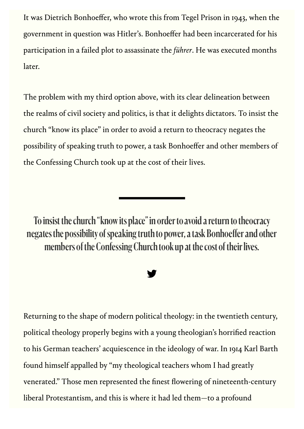It was Dietrich Bonhoeffer, who wrote this from Tegel Prison in 1943, when the government in question was Hitler's. Bonhoeffer had been incarcerated for his participation in a failed plot to assassinate the f*ührer*. He was executed months later.

The problem with my third option above, with its clear delineation between the realms of civil society and politics, is that it delights dictators. To insist the church "know its place" in order to avoid a return to theocracy negates the possibility of speaking truth to power, a task Bonhoeffer and other members of the Confessing Church took up at the cost of their lives.

To insist the church "know its place" in order to avoid a return to theocracy negates the possibility of speaking truth to power, a task Bonhoeffer and other members of the Confessing Church took up at the cost of their lives.

#### **y**

Returning to the shape of modern political theology: in the twentieth century, political theology properly begins with a young theologian's horrified reaction to his German teachers' acquiescence in the ideology of war. In 1914 Karl Barth found himself appalled by "my theological teachers whom I had greatly venerated." Those men represented the finest flowering of nineteenth-century liberal Protestantism, and this is where it had led them—to a profound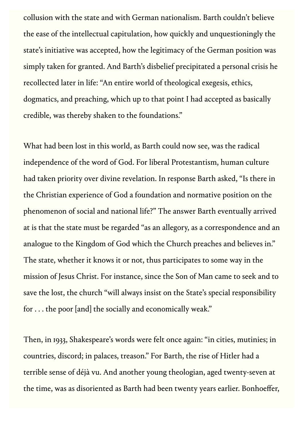collusion with the state and with German nationalism. Barth couldn't believe the ease of the intellectual capitulation, how quickly and unquestioningly the state's initiative was accepted, how the legitimacy of the German position was simply taken for granted. And Barth's disbelief precipitated a personal crisis he recollected later in life: "An entire world of theological exegesis, ethics, dogmatics, and preaching, which up to that point I had accepted as basically credible, was thereby shaken to the foundations."

What had been lost in this world, as Barth could now see, was the radical independence of the word of God. For liberal Protestantism, human culture had taken priority over divine revelation. In response Barth asked, "Is there in the Christian experience of God a foundation and normative position on the phenomenon of social and national life?" The answer Barth eventually arrived at is that the state must be regarded "as an allegory, as a correspondence and an analogue to the Kingdom of God which the Church preaches and believes in." The state, whether it knows it or not, thus participates to some way in the mission of Jesus Christ. For instance, since the Son of Man came to seek and to save the lost, the church "will always insist on the State's special responsibility for . . . the poor [and] the socially and economically weak."

Then, in 1933, Shakespeare's words were felt once again: "in cities, mutinies; in countries, discord; in palaces, treason." For Barth, the rise of Hitler had a terrible sense of déjà vu. And another young theologian, aged twenty-seven at the time, was as disoriented as Barth had been twenty years earlier. Bonhoeffer,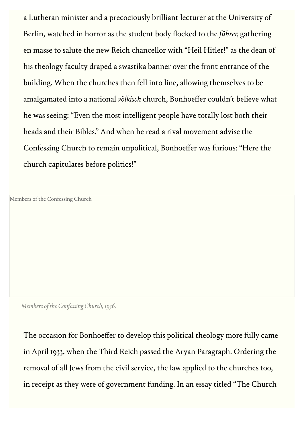a Lutheran minister and a precociously brilliant lecturer at the University of Berlin, watched in horror as the student body flocked to the f*ührer,* gathering en masse to salute the new Reich chancellor with "Heil Hitler!" as the dean of his theology faculty draped a swastika banner over the front entrance of the building. When the churches then fell into line, allowing themselves to be amalgamated into a national *völkisch* church, Bonhoeffer couldn't believe what he was seeing: "Even the most intelligent people have totally lost both their heads and their Bibles." And when he read a rival movement advise the Confessing Church to remain unpolitical, Bonhoeffer was furious: "Here the church capitulates before politics!"

Members of the Confessing Church

*Members of the Confessing Church, 1936.*

The occasion for Bonhoeffer to develop this political theology more fully came in April 1933, when the Third Reich passed the Aryan Paragraph. Ordering the removal of all Jews from the civil service, the law applied to the churches too, in receipt as they were of government funding. In an essay titled "The Church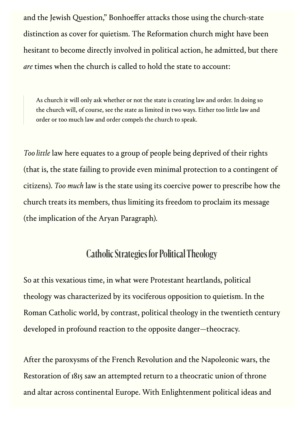and the Jewish Question," Bonhoeffer attacks those using the church-state distinction as cover for quietism. The Reformation church might have been hesitant to become directly involved in political action, he admitted, but there *are* times when the church is called to hold the state to account:

As church it will only ask whether or not the state is creating law and order. In doing so the church will, of course, see the state as limited in two ways. Either too little law and order or too much law and order compels the church to speak.

*Too little* law here equates to a group of people being deprived of their rights (that is, the state failing to provide even minimal protection to a contingent of citizens). *Too much* law is the state using its coercive power to prescribe how the church treats its members, thus limiting its freedom to proclaim its message (the implication of the Aryan Paragraph).

# Catholic Strategies for Political Theology

So at this vexatious time, in what were Protestant heartlands, political theology was characterized by its vociferous opposition to quietism. In the Roman Catholic world, by contrast, political theology in the twentieth century developed in profound reaction to the opposite danger—theocracy.

After the paroxysms of the French Revolution and the Napoleonic wars, the Restoration of 1815 saw an attempted return to a theocratic union of throne and altar across continental Europe. With Enlightenment political ideas and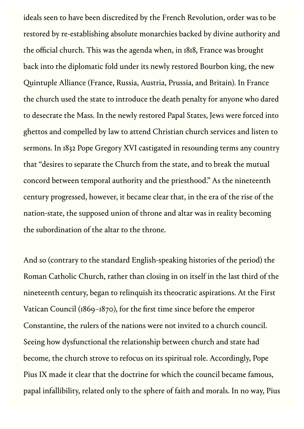ideals seen to have been discredited by the French Revolution, order was to be restored by re-establishing absolute monarchies backed by divine authority and the official church. This was the agenda when, in 1818, France was brought back into the diplomatic fold under its newly restored Bourbon king, the new Quintuple Alliance (France, Russia, Austria, Prussia, and Britain). In France the church used the state to introduce the death penalty for anyone who dared to desecrate the Mass. In the newly restored Papal States, Jews were forced into ghettos and compelled by law to attend Christian church services and listen to sermons. In 1832 Pope Gregory XVI castigated in resounding terms any country that "desires to separate the Church from the state, and to break the mutual concord between temporal authority and the priesthood." As the nineteenth century progressed, however, it became clear that, in the era of the rise of the nation-state, the supposed union of throne and altar was in reality becoming the subordination of the altar to the throne.

And so (contrary to the standard English-speaking histories of the period) the Roman Catholic Church, rather than closing in on itself in the last third of the nineteenth century, began to relinquish its theocratic aspirations. At the First Vatican Council (1869–1870), for the first time since before the emperor Constantine, the rulers of the nations were not invited to a church council. Seeing how dysfunctional the relationship between church and state had become, the church strove to refocus on its spiritual role. Accordingly, Pope Pius IX made it clear that the doctrine for which the council became famous, papal infallibility, related only to the sphere of faith and morals. In no way, Pius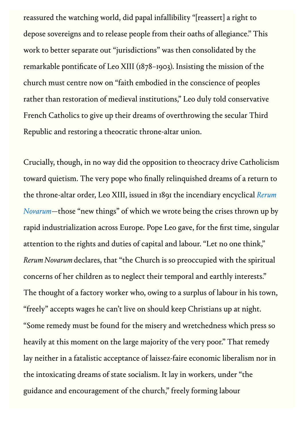reassured the watching world, did papal infallibility "[reassert] a right to depose sovereigns and to release people from their oaths of allegiance." This work to better separate out "jurisdictions" was then consolidated by the remarkable pontificate of Leo XIII (1878–1903). Insisting the mission of the church must centre now on "faith embodied in the conscience of peoples rather than restoration of medieval institutions," Leo duly told conservative French Catholics to give up their dreams of overthrowing the secular Third Republic and restoring a theocratic throne-altar union.

Crucially, though, in no way did the opposition to theocracy drive Catholicism toward quietism. The very pope who finally relinquished dreams of a return to [the throne-altar order, Leo XIII, issued in 1891 the incendiary encyclical](https://www.vatican.va/content/leo-xiii/en/encyclicals/documents/hf_l-xiii_enc_15051891_rerum-novarum.html) *Rerum Novarum*—those "new things" of which we wrote being the crises thrown up by rapid industrialization across Europe. Pope Leo gave, for the first time, singular attention to the rights and duties of capital and labour. "Let no one think," *Rerum Novarum* declares, that "the Church is so preoccupied with the spiritual concerns of her children as to neglect their temporal and earthly interests." The thought of a factory worker who, owing to a surplus of labour in his town, "freely" accepts wages he can't live on should keep Christians up at night. "Some remedy must be found for the misery and wretchedness which press so heavily at this moment on the large majority of the very poor." That remedy lay neither in a fatalistic acceptance of laissez-faire economic liberalism nor in the intoxicating dreams of state socialism. It lay in workers, under "the guidance and encouragement of the church," freely forming labour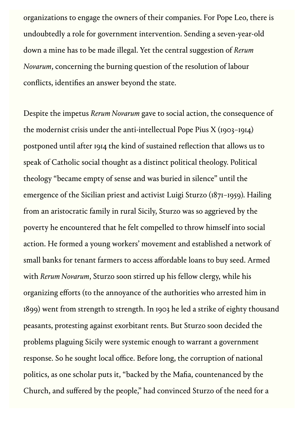organizations to engage the owners of their companies. For Pope Leo, there is undoubtedly a role for government intervention. Sending a seven-year-old down a mine has to be made illegal. Yet the central suggestion of *Rerum Novarum*, concerning the burning question of the resolution of labour conflicts, identifies an answer beyond the state.

Despite the impetus *Rerum Novarum* gave to social action, the consequence of the modernist crisis under the anti-intellectual Pope Pius X (1903–1914) postponed until after 1914 the kind of sustained reflection that allows us to speak of Catholic social thought as a distinct political theology. Political theology "became empty of sense and was buried in silence" until the emergence of the Sicilian priest and activist Luigi Sturzo (1871–1959). Hailing from an aristocratic family in rural Sicily, Sturzo was so aggrieved by the poverty he encountered that he felt compelled to throw himself into social action. He formed a young workers' movement and established a network of small banks for tenant farmers to access affordable loans to buy seed. Armed with *Rerum Novarum*, Sturzo soon stirred up his fellow clergy, while his organizing efforts (to the annoyance of the authorities who arrested him in 1899) went from strength to strength. In 1903 he led a strike of eighty thousand peasants, protesting against exorbitant rents. But Sturzo soon decided the problems plaguing Sicily were systemic enough to warrant a government response. So he sought local office. Before long, the corruption of national politics, as one scholar puts it, "backed by the Mafia, countenanced by the Church, and suffered by the people," had convinced Sturzo of the need for a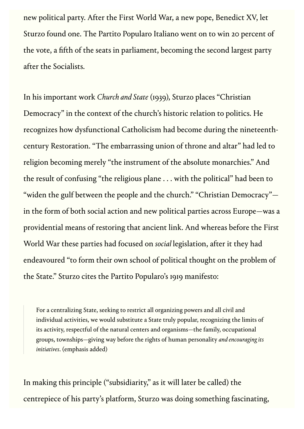new political party. After the First World War, a new pope, Benedict XV, let Sturzo found one. The Partito Popularo Italiano went on to win 20 percent of the vote, a fifth of the seats in parliament, becoming the second largest party after the Socialists.

In his important work *Church and State* (1939), Sturzo places "Christian Democracy" in the context of the church's historic relation to politics. He recognizes how dysfunctional Catholicism had become during the nineteenthcentury Restoration. "The embarrassing union of throne and altar" had led to religion becoming merely "the instrument of the absolute monarchies." And the result of confusing "the religious plane . . . with the political" had been to "widen the gulf between the people and the church." "Christian Democracy" in the form of both social action and new political parties across Europe—was a providential means of restoring that ancient link. And whereas before the First World War these parties had focused on *social* legislation, after it they had endeavoured "to form their own school of political thought on the problem of the State." Sturzo cites the Partito Popularo's 1919 manifesto:

For a centralizing State, seeking to restrict all organizing powers and all civil and individual activities, we would substitute a State truly popular, recognizing the limits of its activity, respectful of the natural centers and organisms—the family, occupational groups, townships—giving way before the rights of human personality *and encouraging its initiatives*. (emphasis added)

In making this principle ("subsidiarity," as it will later be called) the centrepiece of his party's platform, Sturzo was doing something fascinating,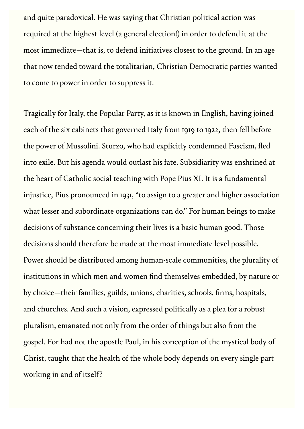and quite paradoxical. He was saying that Christian political action was required at the highest level (a general election!) in order to defend it at the most immediate—that is, to defend initiatives closest to the ground. In an age that now tended toward the totalitarian, Christian Democratic parties wanted to come to power in order to suppress it.

Tragically for Italy, the Popular Party, as it is known in English, having joined each of the six cabinets that governed Italy from 1919 to 1922, then fell before the power of Mussolini. Sturzo, who had explicitly condemned Fascism, fled into exile. But his agenda would outlast his fate. Subsidiarity was enshrined at the heart of Catholic social teaching with Pope Pius XI. It is a fundamental injustice, Pius pronounced in 1931, "to assign to a greater and higher association what lesser and subordinate organizations can do." For human beings to make decisions of substance concerning their lives is a basic human good. Those decisions should therefore be made at the most immediate level possible. Power should be distributed among human-scale communities, the plurality of institutions in which men and women find themselves embedded, by nature or by choice—their families, guilds, unions, charities, schools, firms, hospitals, and churches. And such a vision, expressed politically as a plea for a robust pluralism, emanated not only from the order of things but also from the gospel. For had not the apostle Paul, in his conception of the mystical body of Christ, taught that the health of the whole body depends on every single part working in and of itself?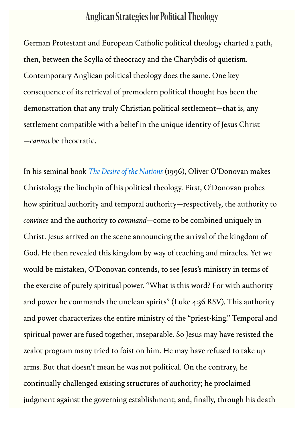# Anglican Strategies for Political Theology

German Protestant and European Catholic political theology charted a path, then, between the Scylla of theocracy and the Charybdis of quietism. Contemporary Anglican political theology does the same. One key consequence of its retrieval of premodern political thought has been the demonstration that any truly Christian political settlement—that is, any settlement compatible with a belief in the unique identity of Jesus Christ —*cannot* be theocratic.

In his seminal book *[The Desire of the Nations](https://www.google.com/books/edition/The_Desire_of_the_Nations/nVUYZPHyDngC)* (1996), Oliver O'Donovan makes Christology the linchpin of his political theology. First, O'Donovan probes how spiritual authority and temporal authority—respectively, the authority to *convince* and the authority to *command*—come to be combined uniquely in Christ. Jesus arrived on the scene announcing the arrival of the kingdom of God. He then revealed this kingdom by way of teaching and miracles. Yet we would be mistaken, O'Donovan contends, to see Jesus's ministry in terms of the exercise of purely spiritual power. "What is this word? For with authority and power he commands the unclean spirits" (Luke 4:36 RSV). This authority and power characterizes the entire ministry of the "priest-king." Temporal and spiritual power are fused together, inseparable. So Jesus may have resisted the zealot program many tried to foist on him. He may have refused to take up arms. But that doesn't mean he was not political. On the contrary, he continually challenged existing structures of authority; he proclaimed judgment against the governing establishment; and, finally, through his death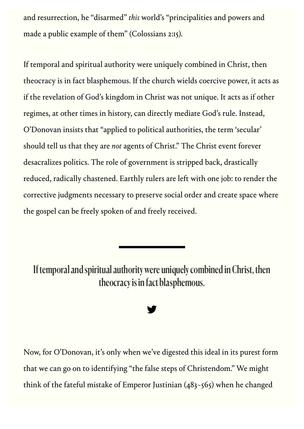and resurrection, he "disarmed" *this* world's "principalities and powers and made a public example of them" (Colossians 2:15).

If temporal and spiritual authority were uniquely combined in Christ, then theocracy is in fact blasphemous. If the church wields coercive power, it acts as if the revelation of God's kingdom in Christ was not unique. It acts as if other regimes, at other times in history, can directly mediate God's rule. Instead, O'Donovan insists that "applied to political authorities, the term 'secular' should tell us that they are *not* agents of Christ." The Christ event forever desacralizes politics. The role of government is stripped back, drastically reduced, radically chastened. Earthly rulers are left with one job: to render the corrective judgments necessary to preserve social order and create space where the gospel can be freely spoken of and freely received.

If temporal and spiritual authority were uniquely combined in Christ, then theocracy is in fact blasphemous.

#### **y**

Now, for O'Donovan, it's only when we've digested this ideal in its purest form that we can go on to identifying "the false steps of Christendom." We might think of the fateful mistake of Emperor Justinian (483–565) when he changed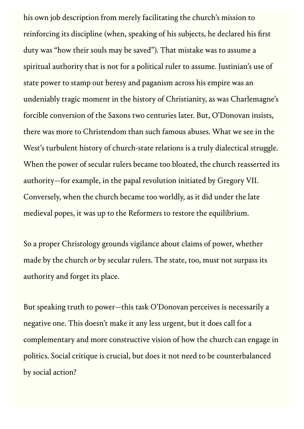his own job description from merely facilitating the church's mission to reinforcing its discipline (when, speaking of his subjects, he declared his first duty was "how their souls may be saved"). That mistake was to assume a spiritual authority that is not for a political ruler to assume. Justinian's use of state power to stamp out heresy and paganism across his empire was an undeniably tragic moment in the history of Christianity, as was Charlemagne's forcible conversion of the Saxons two centuries later. But, O'Donovan insists, there was more to Christendom than such famous abuses. What we see in the West's turbulent history of church-state relations is a truly dialectical struggle. When the power of secular rulers became too bloated, the church reasserted its authority—for example, in the papal revolution initiated by Gregory VII. Conversely, when the church became too worldly, as it did under the late medieval popes, it was up to the Reformers to restore the equilibrium.

So a proper Christology grounds vigilance about claims of power, whether made by the church *or* by secular rulers. The state, too, must not surpass its authority and forget its place.

But speaking truth to power—this task O'Donovan perceives is necessarily a negative one. This doesn't make it any less urgent, but it does call for a complementary and more constructive vision of how the church can engage in politics. Social critique is crucial, but does it not need to be counterbalanced by social action?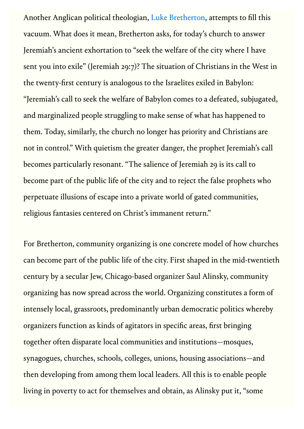Another Anglican political theologian, [Luke Bretherton,](https://comment.org/coordinating-the-kingdom-and-the-common-good/) attempts to fill this vacuum. What does it mean, Bretherton asks, for today's church to answer Jeremiah's ancient exhortation to "seek the welfare of the city where I have sent you into exile" (Jeremiah 29:7)? The situation of Christians in the West in the twenty-first century is analogous to the Israelites exiled in Babylon: "Jeremiah's call to seek the welfare of Babylon comes to a defeated, subjugated, and marginalized people struggling to make sense of what has happened to them. Today, similarly, the church no longer has priority and Christians are not in control." With quietism the greater danger, the prophet Jeremiah's call becomes particularly resonant. "The salience of Jeremiah 29 is its call to become part of the public life of the city and to reject the false prophets who perpetuate illusions of escape into a private world of gated communities, religious fantasies centered on Christ's immanent return."

For Bretherton, community organizing is one concrete model of how churches can become part of the public life of the city. First shaped in the mid-twentieth century by a secular Jew, Chicago-based organizer Saul Alinsky, community organizing has now spread across the world. Organizing constitutes a form of intensely local, grassroots, predominantly urban democratic politics whereby organizers function as kinds of agitators in specific areas, first bringing together often disparate local communities and institutions—mosques, synagogues, churches, schools, colleges, unions, housing associations—and then developing from among them local leaders. All this is to enable people living in poverty to act for themselves and obtain, as Alinsky put it, "some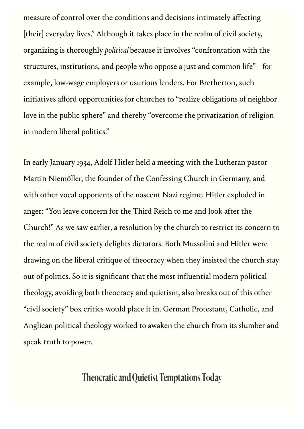measure of control over the conditions and decisions intimately affecting [their] everyday lives." Although it takes place in the realm of civil society, organizing is thoroughly *political* because it involves "confrontation with the structures, institutions, and people who oppose a just and common life"—for example, low-wage employers or usurious lenders. For Bretherton, such initiatives afford opportunities for churches to "realize obligations of neighbor love in the public sphere" and thereby "overcome the privatization of religion in modern liberal politics."

In early January 1934, Adolf Hitler held a meeting with the Lutheran pastor Martin Niemöller, the founder of the Confessing Church in Germany, and with other vocal opponents of the nascent Nazi regime. Hitler exploded in anger: "You leave concern for the Third Reich to me and look after the Church!" As we saw earlier, a resolution by the church to restrict its concern to the realm of civil society delights dictators. Both Mussolini and Hitler were drawing on the liberal critique of theocracy when they insisted the church stay out of politics. So it is significant that the most influential modern political theology, avoiding both theocracy and quietism, also breaks out of this other "civil society" box critics would place it in. German Protestant, Catholic, and Anglican political theology worked to awaken the church from its slumber and speak truth to power.

## Theocratic and Quietist Temptations Today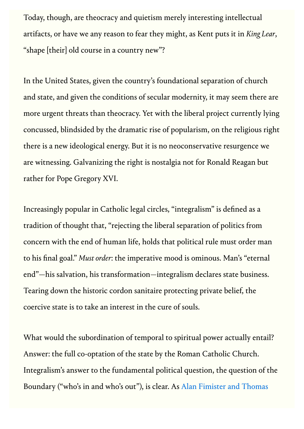Today, though, are theocracy and quietism merely interesting intellectual artifacts, or have we any reason to fear they might, as Kent puts it in *King Lear*, "shape [their] old course in a country new"?

In the United States, given the country's foundational separation of church and state, and given the conditions of secular modernity, it may seem there are more urgent threats than theocracy. Yet with the liberal project currently lying concussed, blindsided by the dramatic rise of popularism, on the religious right there is a new ideological energy. But it is no neoconservative resurgence we are witnessing. Galvanizing the right is nostalgia not for Ronald Reagan but rather for Pope Gregory XVI.

Increasingly popular in Catholic legal circles, "integralism" is defined as a tradition of thought that, "rejecting the liberal separation of politics from concern with the end of human life, holds that political rule must order man to his final goal." *Must order*: the imperative mood is ominous. Man's "eternal end"—his salvation, his transformation—integralism declares state business. Tearing down the historic cordon sanitaire protecting private belief, the coercive state is to take an interest in the cure of souls.

What would the subordination of temporal to spiritual power actually entail? Answer: the full co-optation of the state by the Roman Catholic Church. Integralism's answer to the fundamental political question, the question of the [Boundary \("who's in and who's out"\), is clear. As Alan Fimister and Thomas](https://www.google.com/books/edition/Integralism/0uXbDwAAQBAJ)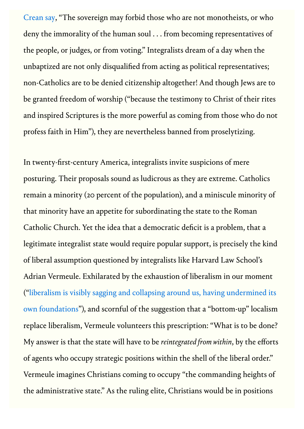[Crean say, "The sovereign may forbid those who are not monotheists, or wh](https://www.google.com/books/edition/Integralism/0uXbDwAAQBAJ)o deny the immorality of the human soul . . . from becoming representatives of the people, or judges, or from voting." Integralists dream of a day when the unbaptized are not only disqualified from acting as political representatives; non-Catholics are to be denied citizenship altogether! And though Jews are to be granted freedom of worship ("because the testimony to Christ of their rites and inspired Scriptures is the more powerful as coming from those who do not profess faith in Him"), they are nevertheless banned from proselytizing.

In twenty-first-century America, integralists invite suspicions of mere posturing. Their proposals sound as ludicrous as they are extreme. Catholics remain a minority (20 percent of the population), and a miniscule minority of that minority have an appetite for subordinating the state to the Roman Catholic Church. Yet the idea that a democratic deficit is a problem, that a legitimate integralist state would require popular support, is precisely the kind of liberal assumption questioned by integralists like Harvard Law School's Adrian Vermeule. Exhilarated by the exhaustion of liberalism in our moment ("liberalism is visibly sagg[ing and collapsing around us, having undermined its](https://americanaffairsjournal.org/2018/02/integration-from-within/) own foundations"), and scornful of the suggestion that a "bottom-up" localism replace liberalism, Vermeule volunteers this prescription: "What is to be done? My answer is that the state will have to be *reintegrated from within*, by the efforts of agents who occupy strategic positions within the shell of the liberal order." Vermeule imagines Christians coming to occupy "the commanding heights of the administrative state." As the ruling elite, Christians would be in positions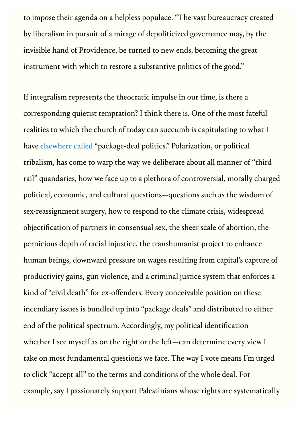to impose their agenda on a helpless populace. "The vast bureaucracy created by liberalism in pursuit of a mirage of depoliticized governance may, by the invisible hand of Providence, be turned to new ends, becoming the great instrument with which to restore a substantive politics of the good."

If integralism represents the theocratic impulse in our time, is there a corresponding quietist temptation? I think there is. One of the most fateful realities to which the church of today can succumb is capitulating to what I have [elsewhere called](https://www.bloomsbury.com/us/vexed-9781472966346/) "package-deal politics." Polarization, or political tribalism, has come to warp the way we deliberate about all manner of "third rail" quandaries, how we face up to a plethora of controversial, morally charged political, economic, and cultural questions—questions such as the wisdom of sex-reassignment surgery, how to respond to the climate crisis, widespread objectification of partners in consensual sex, the sheer scale of abortion, the pernicious depth of racial injustice, the transhumanist project to enhance human beings, downward pressure on wages resulting from capital's capture of productivity gains, gun violence, and a criminal justice system that enforces a kind of "civil death" for ex-offenders. Every conceivable position on these incendiary issues is bundled up into "package deals" and distributed to either end of the political spectrum. Accordingly, my political identification whether I see myself as on the right or the left—can determine every view I take on most fundamental questions we face. The way I vote means I'm urged to click "accept all" to the terms and conditions of the whole deal. For example, say I passionately support Palestinians whose rights are systematically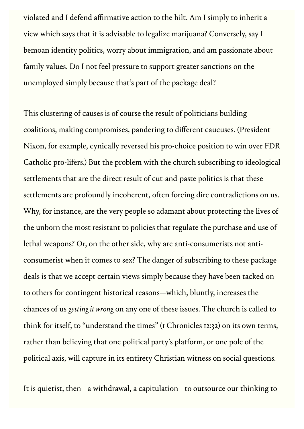violated and I defend affirmative action to the hilt. Am I simply to inherit a view which says that it is advisable to legalize marijuana? Conversely, say I bemoan identity politics, worry about immigration, and am passionate about family values. Do I not feel pressure to support greater sanctions on the unemployed simply because that's part of the package deal?

This clustering of causes is of course the result of politicians building coalitions, making compromises, pandering to different caucuses. (President Nixon, for example, cynically reversed his pro-choice position to win over FDR Catholic pro-lifers.) But the problem with the church subscribing to ideological settlements that are the direct result of cut-and-paste politics is that these settlements are profoundly incoherent, often forcing dire contradictions on us. Why, for instance, are the very people so adamant about protecting the lives of the unborn the most resistant to policies that regulate the purchase and use of lethal weapons? Or, on the other side, why are anti-consumerists not anticonsumerist when it comes to sex? The danger of subscribing to these package deals is that we accept certain views simply because they have been tacked on to others for contingent historical reasons—which, bluntly, increases the chances of us *getting it wrong* on any one of these issues. The church is called to think for itself, to "understand the times" (1 Chronicles 12:32) on its own terms, rather than believing that one political party's platform, or one pole of the political axis, will capture in its entirety Christian witness on social questions.

It is quietist, then—a withdrawal, a capitulation—to outsource our thinking to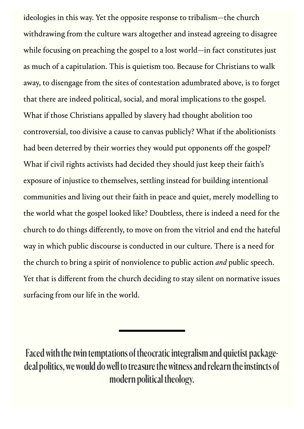ideologies in this way. Yet the opposite response to tribalism—the church withdrawing from the culture wars altogether and instead agreeing to disagree while focusing on preaching the gospel to a lost world—in fact constitutes just as much of a capitulation. This is quietism too. Because for Christians to walk away, to disengage from the sites of contestation adumbrated above, is to forget that there are indeed political, social, and moral implications to the gospel. What if those Christians appalled by slavery had thought abolition too controversial, too divisive a cause to canvas publicly? What if the abolitionists had been deterred by their worries they would put opponents off the gospel? What if civil rights activists had decided they should just keep their faith's exposure of injustice to themselves, settling instead for building intentional communities and living out their faith in peace and quiet, merely modelling to the world what the gospel looked like? Doubtless, there is indeed a need for the church to do things differently, to move on from the vitriol and end the hateful way in which public discourse is conducted in our culture. There is a need for the church to bring a spirit of nonviolence to public action *and* public speech. Yet that is different from the church deciding to stay silent on normative issues surfacing from our life in the world.

Faced with the twin temptations of theocratic integralism and quietist packagedeal politics, we would do well to treasure the witness and relearn the instincts of modern political theology.